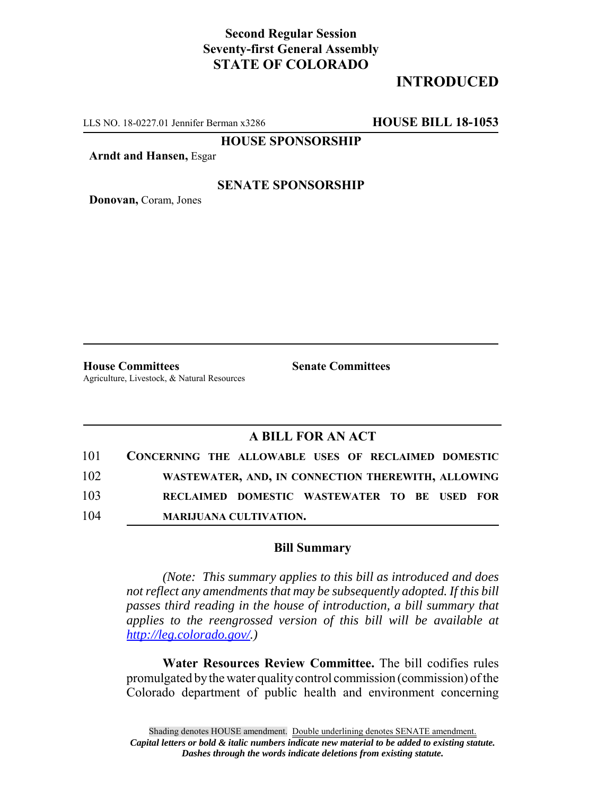## **Second Regular Session Seventy-first General Assembly STATE OF COLORADO**

# **INTRODUCED**

LLS NO. 18-0227.01 Jennifer Berman x3286 **HOUSE BILL 18-1053**

**HOUSE SPONSORSHIP**

**Arndt and Hansen,** Esgar

### **SENATE SPONSORSHIP**

**Donovan,** Coram, Jones

**House Committees Senate Committees** Agriculture, Livestock, & Natural Resources

### **A BILL FOR AN ACT**

| 101 | CONCERNING THE ALLOWABLE USES OF RECLAIMED DOMESTIC |                                                    |  |  |  |
|-----|-----------------------------------------------------|----------------------------------------------------|--|--|--|
| 102 |                                                     | WASTEWATER, AND, IN CONNECTION THEREWITH, ALLOWING |  |  |  |
| 103 |                                                     | RECLAIMED DOMESTIC WASTEWATER TO BE USED FOR       |  |  |  |
| 104 |                                                     | <b>MARIJUANA CULTIVATION.</b>                      |  |  |  |

#### **Bill Summary**

*(Note: This summary applies to this bill as introduced and does not reflect any amendments that may be subsequently adopted. If this bill passes third reading in the house of introduction, a bill summary that applies to the reengrossed version of this bill will be available at http://leg.colorado.gov/.)*

**Water Resources Review Committee.** The bill codifies rules promulgated by the water quality control commission (commission) of the Colorado department of public health and environment concerning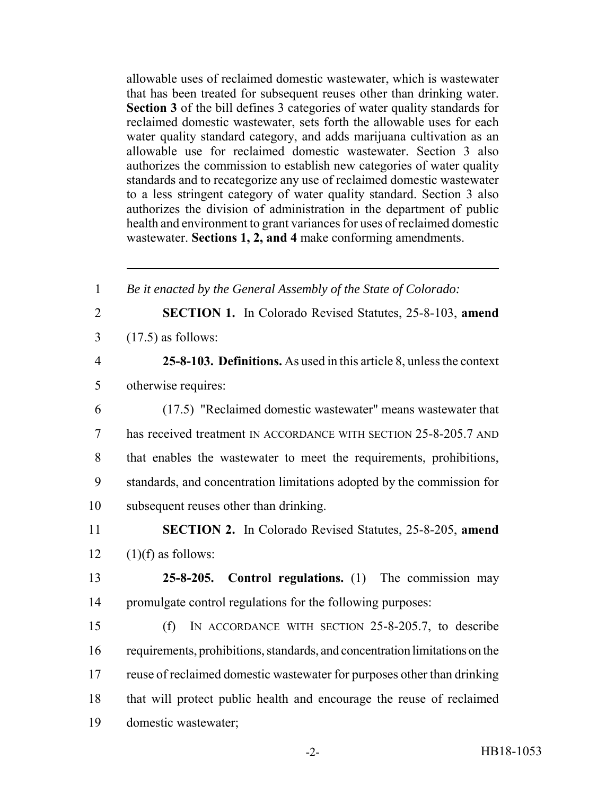allowable uses of reclaimed domestic wastewater, which is wastewater that has been treated for subsequent reuses other than drinking water. **Section 3** of the bill defines 3 categories of water quality standards for reclaimed domestic wastewater, sets forth the allowable uses for each water quality standard category, and adds marijuana cultivation as an allowable use for reclaimed domestic wastewater. Section 3 also authorizes the commission to establish new categories of water quality standards and to recategorize any use of reclaimed domestic wastewater to a less stringent category of water quality standard. Section 3 also authorizes the division of administration in the department of public health and environment to grant variances for uses of reclaimed domestic wastewater. **Sections 1, 2, and 4** make conforming amendments.

| $\mathbf{1}$   | Be it enacted by the General Assembly of the State of Colorado:             |
|----------------|-----------------------------------------------------------------------------|
| $\overline{2}$ | <b>SECTION 1.</b> In Colorado Revised Statutes, 25-8-103, amend             |
| 3              | $(17.5)$ as follows:                                                        |
| $\overline{4}$ | 25-8-103. Definitions. As used in this article 8, unless the context        |
| 5              | otherwise requires:                                                         |
| 6              | (17.5) "Reclaimed domestic wastewater" means wastewater that                |
| 7              | has received treatment IN ACCORDANCE WITH SECTION 25-8-205.7 AND            |
| 8              | that enables the wastewater to meet the requirements, prohibitions,         |
| 9              | standards, and concentration limitations adopted by the commission for      |
| 10             | subsequent reuses other than drinking.                                      |
| 11             | <b>SECTION 2.</b> In Colorado Revised Statutes, 25-8-205, amend             |
| 12             | $(1)(f)$ as follows:                                                        |
| 13             | 25-8-205. Control regulations. $(1)$ The commission may                     |
| 14             | promulgate control regulations for the following purposes:                  |
| 15             | IN ACCORDANCE WITH SECTION 25-8-205.7, to describe<br>(f)                   |
| 16             | requirements, prohibitions, standards, and concentration limitations on the |
| 17             | reuse of reclaimed domestic was tewater for purposes other than drinking    |
| 18             | that will protect public health and encourage the reuse of reclaimed        |
| 19             | domestic wastewater;                                                        |
|                |                                                                             |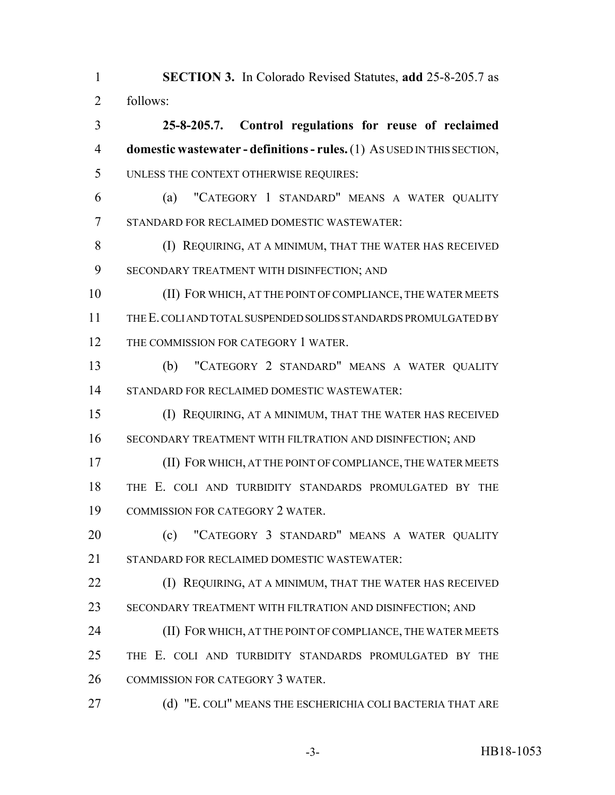**SECTION 3.** In Colorado Revised Statutes, **add** 25-8-205.7 as follows:

 **25-8-205.7. Control regulations for reuse of reclaimed domestic wastewater - definitions - rules.** (1) AS USED IN THIS SECTION, UNLESS THE CONTEXT OTHERWISE REQUIRES:

 (a) "CATEGORY 1 STANDARD" MEANS A WATER QUALITY STANDARD FOR RECLAIMED DOMESTIC WASTEWATER:

**(I) REQUIRING, AT A MINIMUM, THAT THE WATER HAS RECEIVED** SECONDARY TREATMENT WITH DISINFECTION; AND

 (II) FOR WHICH, AT THE POINT OF COMPLIANCE, THE WATER MEETS THE E. COLI AND TOTAL SUSPENDED SOLIDS STANDARDS PROMULGATED BY 12 THE COMMISSION FOR CATEGORY 1 WATER.

 (b) "CATEGORY 2 STANDARD" MEANS A WATER QUALITY STANDARD FOR RECLAIMED DOMESTIC WASTEWATER:

 (I) REQUIRING, AT A MINIMUM, THAT THE WATER HAS RECEIVED SECONDARY TREATMENT WITH FILTRATION AND DISINFECTION; AND

 (II) FOR WHICH, AT THE POINT OF COMPLIANCE, THE WATER MEETS THE E. COLI AND TURBIDITY STANDARDS PROMULGATED BY THE COMMISSION FOR CATEGORY 2 WATER.

 (c) "CATEGORY 3 STANDARD" MEANS A WATER QUALITY STANDARD FOR RECLAIMED DOMESTIC WASTEWATER:

**(I) REQUIRING, AT A MINIMUM, THAT THE WATER HAS RECEIVED** SECONDARY TREATMENT WITH FILTRATION AND DISINFECTION; AND

**(II) FOR WHICH, AT THE POINT OF COMPLIANCE, THE WATER MEETS**  THE E. COLI AND TURBIDITY STANDARDS PROMULGATED BY THE COMMISSION FOR CATEGORY 3 WATER.

**(d) "E. COLI" MEANS THE ESCHERICHIA COLI BACTERIA THAT ARE**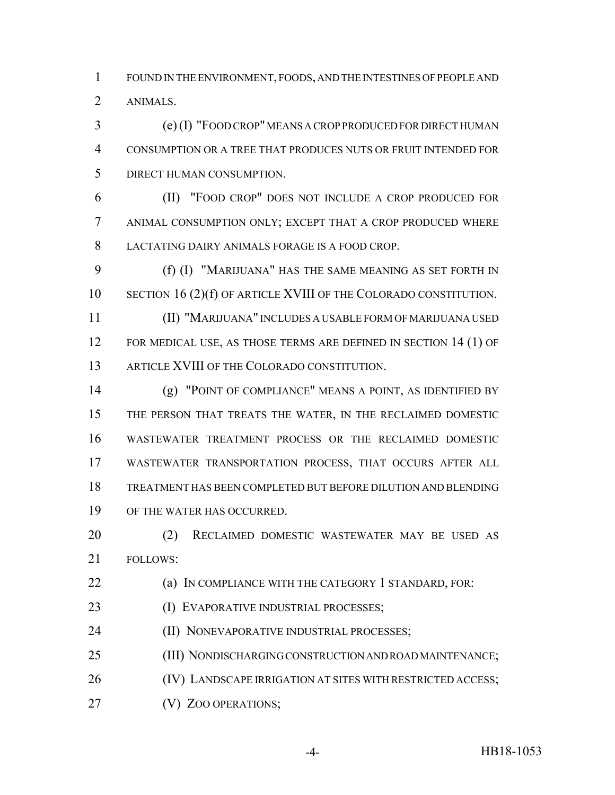FOUND IN THE ENVIRONMENT, FOODS, AND THE INTESTINES OF PEOPLE AND ANIMALS.

 (e) (I) "FOOD CROP" MEANS A CROP PRODUCED FOR DIRECT HUMAN CONSUMPTION OR A TREE THAT PRODUCES NUTS OR FRUIT INTENDED FOR DIRECT HUMAN CONSUMPTION.

 (II) "FOOD CROP" DOES NOT INCLUDE A CROP PRODUCED FOR ANIMAL CONSUMPTION ONLY; EXCEPT THAT A CROP PRODUCED WHERE LACTATING DAIRY ANIMALS FORAGE IS A FOOD CROP.

 (f) (I) "MARIJUANA" HAS THE SAME MEANING AS SET FORTH IN 10 SECTION 16 (2)(f) OF ARTICLE XVIII OF THE COLORADO CONSTITUTION.

 (II) "MARIJUANA" INCLUDES A USABLE FORM OF MARIJUANA USED 12 FOR MEDICAL USE, AS THOSE TERMS ARE DEFINED IN SECTION 14 (1) OF ARTICLE XVIII OF THE COLORADO CONSTITUTION.

 (g) "POINT OF COMPLIANCE" MEANS A POINT, AS IDENTIFIED BY THE PERSON THAT TREATS THE WATER, IN THE RECLAIMED DOMESTIC WASTEWATER TREATMENT PROCESS OR THE RECLAIMED DOMESTIC WASTEWATER TRANSPORTATION PROCESS, THAT OCCURS AFTER ALL TREATMENT HAS BEEN COMPLETED BUT BEFORE DILUTION AND BLENDING OF THE WATER HAS OCCURRED.

 (2) RECLAIMED DOMESTIC WASTEWATER MAY BE USED AS FOLLOWS:

**(a) IN COMPLIANCE WITH THE CATEGORY 1 STANDARD, FOR:** 

**(I) EVAPORATIVE INDUSTRIAL PROCESSES;** 

**(II) NONEVAPORATIVE INDUSTRIAL PROCESSES;** 

(III) NONDISCHARGING CONSTRUCTION AND ROAD MAINTENANCE;

26 (IV) LANDSCAPE IRRIGATION AT SITES WITH RESTRICTED ACCESS;

**(V) ZOO OPERATIONS;** 

-4- HB18-1053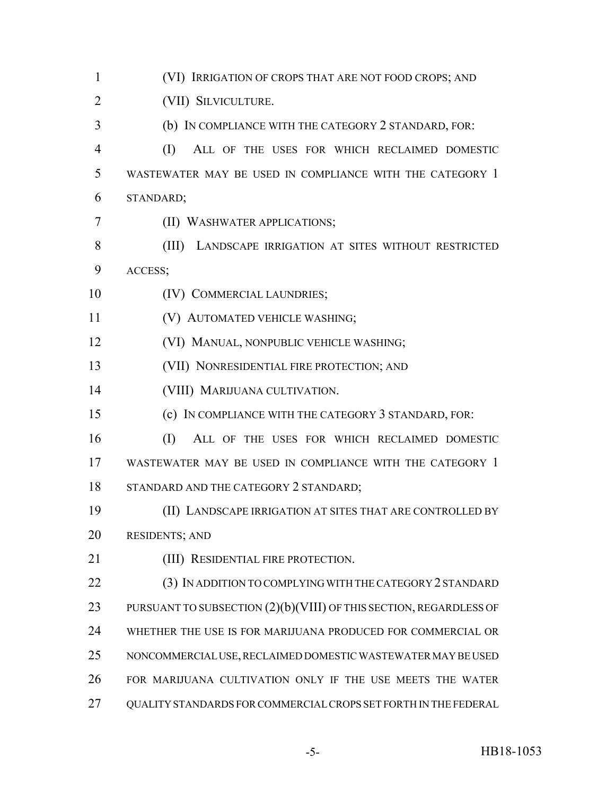(VI) IRRIGATION OF CROPS THAT ARE NOT FOOD CROPS; AND (VII) SILVICULTURE. (b) IN COMPLIANCE WITH THE CATEGORY 2 STANDARD, FOR: (I) ALL OF THE USES FOR WHICH RECLAIMED DOMESTIC WASTEWATER MAY BE USED IN COMPLIANCE WITH THE CATEGORY 1 STANDARD; (II) WASHWATER APPLICATIONS; (III) LANDSCAPE IRRIGATION AT SITES WITHOUT RESTRICTED ACCESS; 10 (IV) COMMERCIAL LAUNDRIES; (V) AUTOMATED VEHICLE WASHING; (VI) MANUAL, NONPUBLIC VEHICLE WASHING; (VII) NONRESIDENTIAL FIRE PROTECTION; AND (VIII) MARIJUANA CULTIVATION. (c) IN COMPLIANCE WITH THE CATEGORY 3 STANDARD, FOR: (I) ALL OF THE USES FOR WHICH RECLAIMED DOMESTIC WASTEWATER MAY BE USED IN COMPLIANCE WITH THE CATEGORY 1 18 STANDARD AND THE CATEGORY 2 STANDARD; (II) LANDSCAPE IRRIGATION AT SITES THAT ARE CONTROLLED BY RESIDENTS; AND 21 (III) RESIDENTIAL FIRE PROTECTION. (3) IN ADDITION TO COMPLYING WITH THE CATEGORY 2 STANDARD 23 PURSUANT TO SUBSECTION (2)(b)(VIII) OF THIS SECTION, REGARDLESS OF WHETHER THE USE IS FOR MARIJUANA PRODUCED FOR COMMERCIAL OR NONCOMMERCIAL USE, RECLAIMED DOMESTIC WASTEWATER MAY BE USED FOR MARIJUANA CULTIVATION ONLY IF THE USE MEETS THE WATER QUALITY STANDARDS FOR COMMERCIAL CROPS SET FORTH IN THE FEDERAL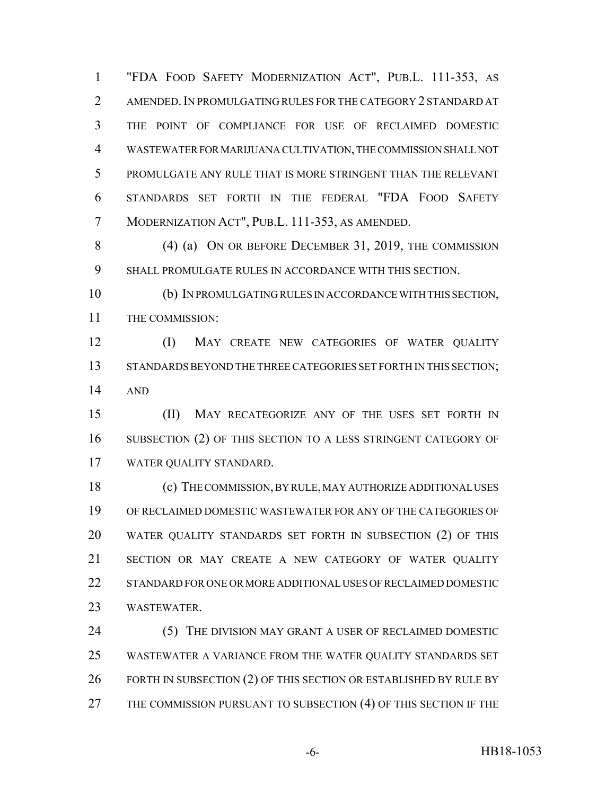"FDA FOOD SAFETY MODERNIZATION ACT", PUB.L. 111-353, AS 2 AMENDED. IN PROMULGATING RULES FOR THE CATEGORY 2 STANDARD AT THE POINT OF COMPLIANCE FOR USE OF RECLAIMED DOMESTIC WASTEWATER FOR MARIJUANA CULTIVATION, THE COMMISSION SHALL NOT PROMULGATE ANY RULE THAT IS MORE STRINGENT THAN THE RELEVANT STANDARDS SET FORTH IN THE FEDERAL "FDA FOOD SAFETY MODERNIZATION ACT", PUB.L. 111-353, AS AMENDED.

 (4) (a) ON OR BEFORE DECEMBER 31, 2019, THE COMMISSION SHALL PROMULGATE RULES IN ACCORDANCE WITH THIS SECTION.

 (b) IN PROMULGATING RULES IN ACCORDANCE WITH THIS SECTION, THE COMMISSION:

 (I) MAY CREATE NEW CATEGORIES OF WATER QUALITY 13 STANDARDS BEYOND THE THREE CATEGORIES SET FORTH IN THIS SECTION; AND

 (II) MAY RECATEGORIZE ANY OF THE USES SET FORTH IN SUBSECTION (2) OF THIS SECTION TO A LESS STRINGENT CATEGORY OF WATER QUALITY STANDARD.

 (c) THE COMMISSION, BY RULE, MAY AUTHORIZE ADDITIONAL USES OF RECLAIMED DOMESTIC WASTEWATER FOR ANY OF THE CATEGORIES OF WATER QUALITY STANDARDS SET FORTH IN SUBSECTION (2) OF THIS SECTION OR MAY CREATE A NEW CATEGORY OF WATER QUALITY STANDARD FOR ONE OR MORE ADDITIONAL USES OF RECLAIMED DOMESTIC WASTEWATER.

 (5) THE DIVISION MAY GRANT A USER OF RECLAIMED DOMESTIC WASTEWATER A VARIANCE FROM THE WATER QUALITY STANDARDS SET 26 FORTH IN SUBSECTION (2) OF THIS SECTION OR ESTABLISHED BY RULE BY 27 THE COMMISSION PURSUANT TO SUBSECTION (4) OF THIS SECTION IF THE